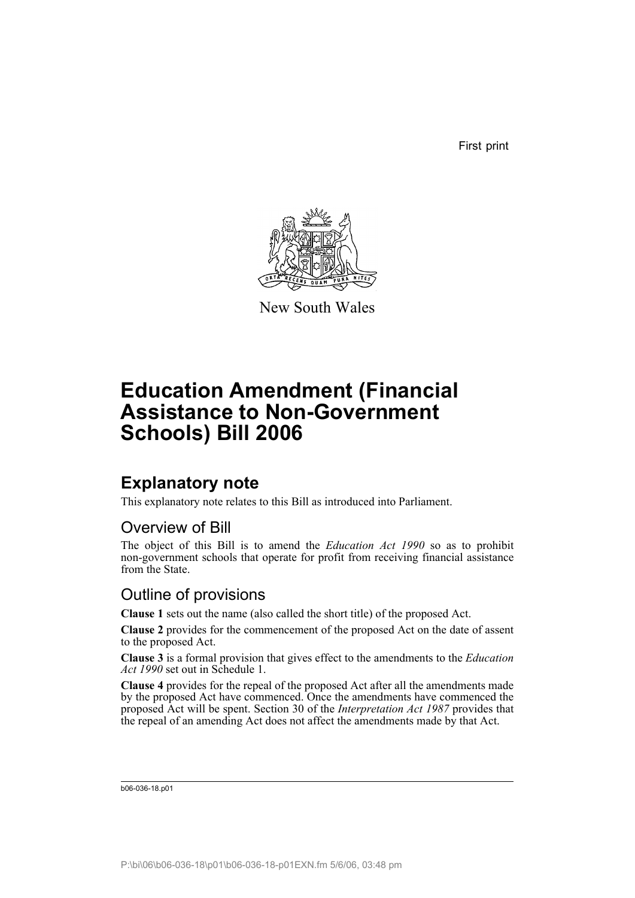First print



New South Wales

# **Education Amendment (Financial Assistance to Non-Government Schools) Bill 2006**

## **Explanatory note**

This explanatory note relates to this Bill as introduced into Parliament.

## Overview of Bill

The object of this Bill is to amend the *Education Act 1990* so as to prohibit non-government schools that operate for profit from receiving financial assistance from the State.

## Outline of provisions

**Clause 1** sets out the name (also called the short title) of the proposed Act.

**Clause 2** provides for the commencement of the proposed Act on the date of assent to the proposed Act.

**Clause 3** is a formal provision that gives effect to the amendments to the *Education Act 1990* set out in Schedule 1.

**Clause 4** provides for the repeal of the proposed Act after all the amendments made by the proposed Act have commenced. Once the amendments have commenced the proposed Act will be spent. Section 30 of the *Interpretation Act 1987* provides that the repeal of an amending Act does not affect the amendments made by that Act.

b06-036-18.p01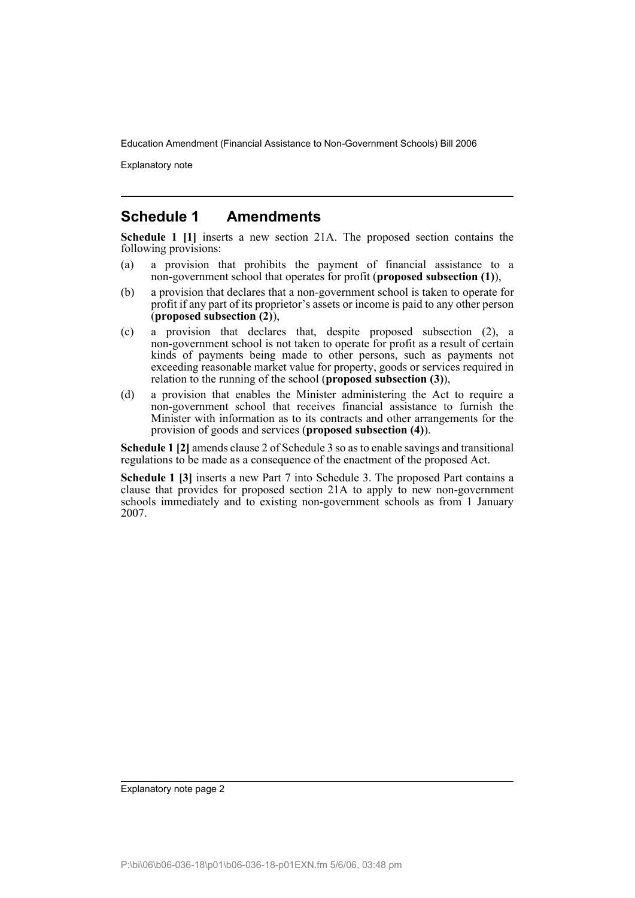Explanatory note

#### **Schedule 1 Amendments**

**Schedule 1 [1]** inserts a new section 21A. The proposed section contains the following provisions:

- (a) a provision that prohibits the payment of financial assistance to a non-government school that operates for profit (**proposed subsection (1)**),
- (b) a provision that declares that a non-government school is taken to operate for profit if any part of its proprietor's assets or income is paid to any other person (**proposed subsection (2)**),
- (c) a provision that declares that, despite proposed subsection (2), a non-government school is not taken to operate for profit as a result of certain kinds of payments being made to other persons, such as payments not exceeding reasonable market value for property, goods or services required in relation to the running of the school (**proposed subsection (3)**),
- (d) a provision that enables the Minister administering the Act to require a non-government school that receives financial assistance to furnish the Minister with information as to its contracts and other arrangements for the provision of goods and services (**proposed subsection (4)**).

**Schedule 1 [2]** amends clause 2 of Schedule 3 so as to enable savings and transitional regulations to be made as a consequence of the enactment of the proposed Act.

**Schedule 1 [3]** inserts a new Part 7 into Schedule 3. The proposed Part contains a clause that provides for proposed section 21A to apply to new non-government schools immediately and to existing non-government schools as from 1 January 2007.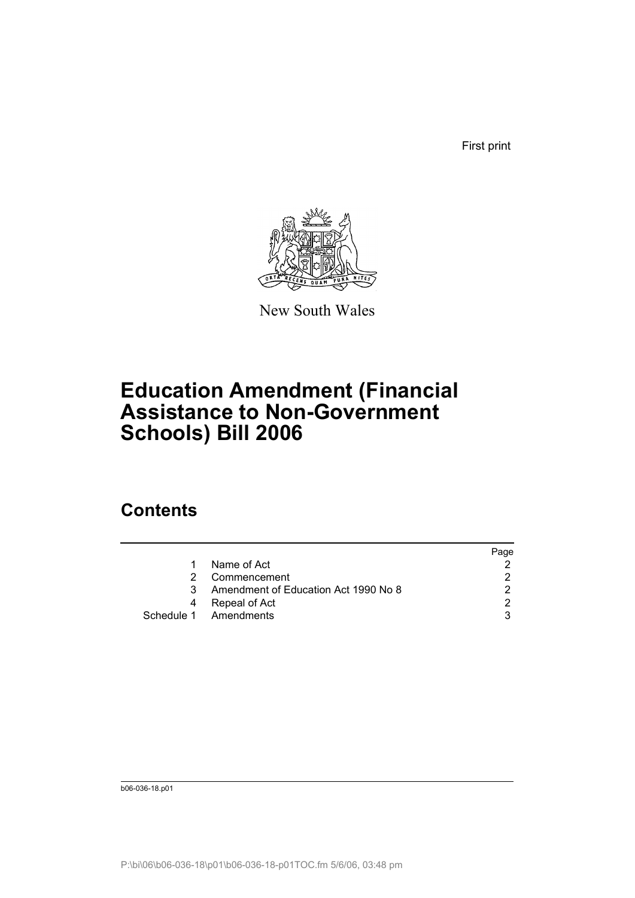First print



New South Wales

# **Education Amendment (Financial Assistance to Non-Government Schools) Bill 2006**

## **Contents**

|    |                                      | Page          |
|----|--------------------------------------|---------------|
| 1. | Name of Act                          |               |
|    | Commencement                         |               |
| 3  | Amendment of Education Act 1990 No 8 |               |
|    | Repeal of Act                        | $\mathcal{D}$ |
|    | Schedule 1 Amendments                | 3             |

b06-036-18.p01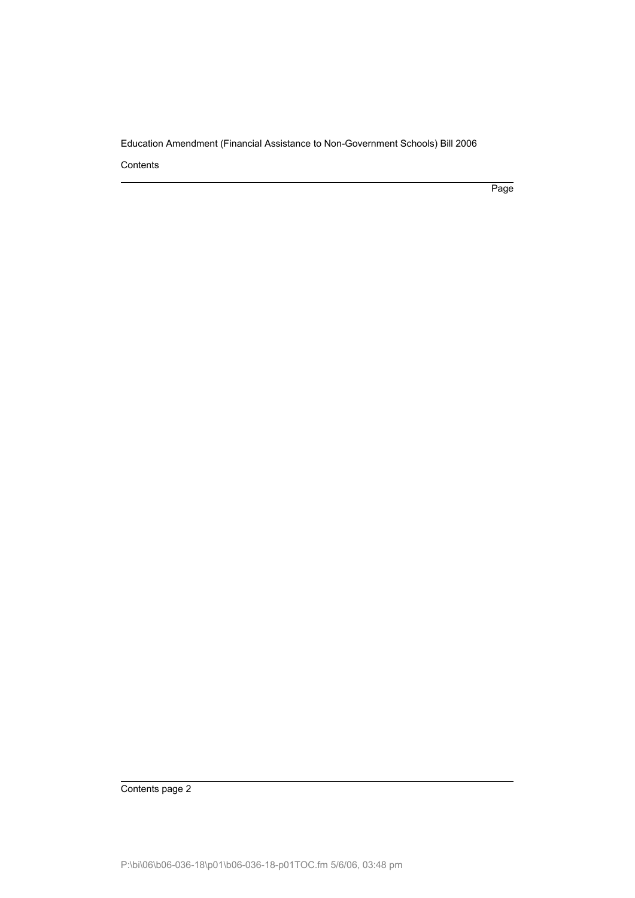Contents

Page

Contents page 2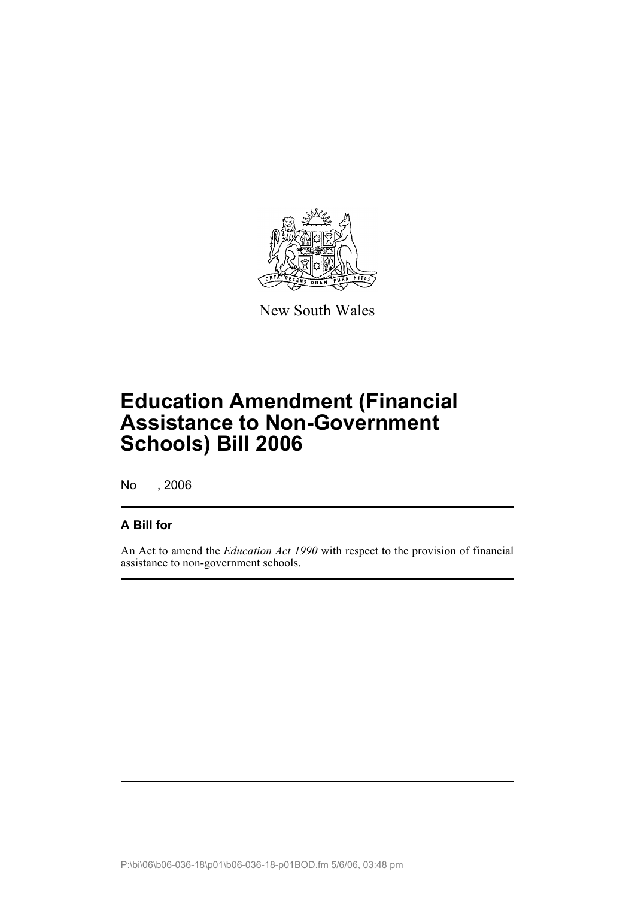

New South Wales

# **Education Amendment (Financial Assistance to Non-Government Schools) Bill 2006**

No , 2006

#### **A Bill for**

An Act to amend the *Education Act 1990* with respect to the provision of financial assistance to non-government schools.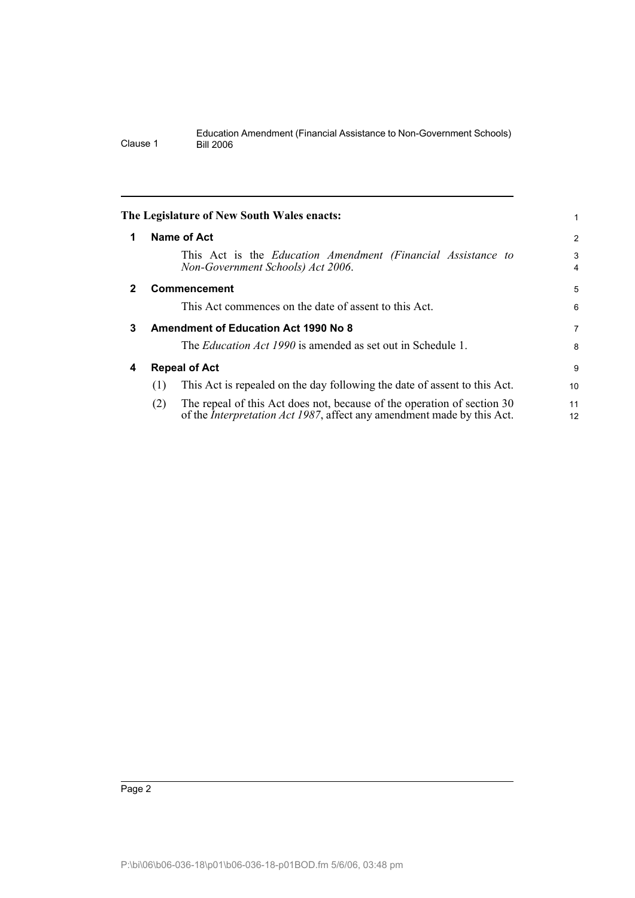<span id="page-5-3"></span><span id="page-5-2"></span><span id="page-5-1"></span><span id="page-5-0"></span>

|              | The Legislature of New South Wales enacts:                                                                                                                       |  |          |
|--------------|------------------------------------------------------------------------------------------------------------------------------------------------------------------|--|----------|
| 1            | Name of Act                                                                                                                                                      |  | 2        |
|              | This Act is the Education Amendment (Financial Assistance to<br>Non-Government Schools) Act 2006.                                                                |  | 3<br>4   |
| $\mathbf{2}$ | <b>Commencement</b>                                                                                                                                              |  | 5        |
|              | This Act commences on the date of assent to this Act.                                                                                                            |  | 6        |
| 3            | <b>Amendment of Education Act 1990 No 8</b>                                                                                                                      |  |          |
|              | The <i>Education Act 1990</i> is amended as set out in Schedule 1.                                                                                               |  | 8        |
| 4            | <b>Repeal of Act</b>                                                                                                                                             |  | 9        |
|              | This Act is repealed on the day following the date of assent to this Act.<br>(1)                                                                                 |  | 10       |
|              | The repeal of this Act does not, because of the operation of section 30<br>(2)<br>of the <i>Interpretation Act 1987</i> , affect any amendment made by this Act. |  | 11<br>12 |
|              |                                                                                                                                                                  |  |          |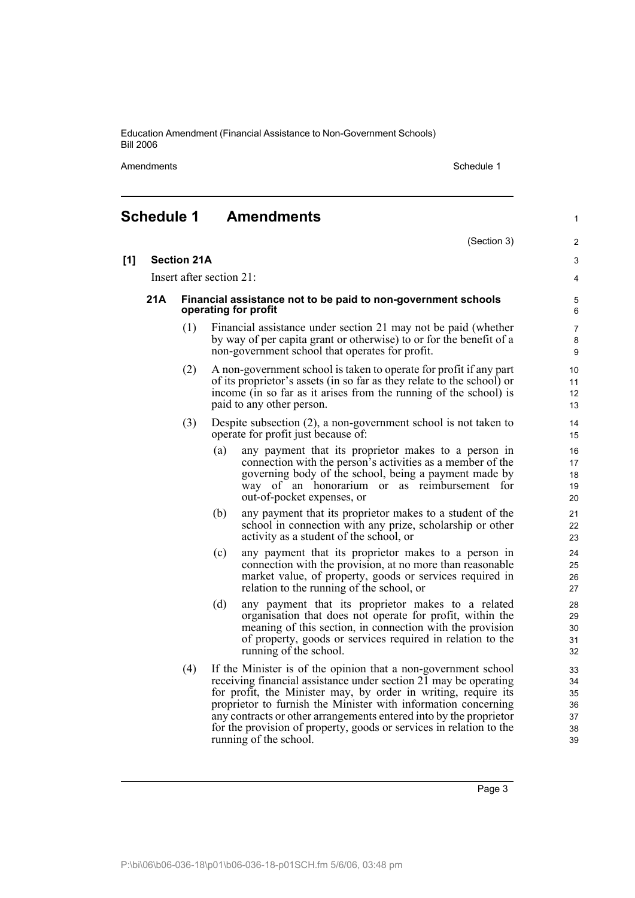Amendments **Schedule 1** Schedule 1

1

#### <span id="page-6-0"></span>**Schedule 1 Amendments**

(Section 3) **[1] Section 21A** Insert after section 21: **21A Financial assistance not to be paid to non-government schools operating for profit** (1) Financial assistance under section 21 may not be paid (whether by way of per capita grant or otherwise) to or for the benefit of a non-government school that operates for profit. (2) A non-government school is taken to operate for profit if any part of its proprietor's assets (in so far as they relate to the school) or income (in so far as it arises from the running of the school) is paid to any other person. (3) Despite subsection (2), a non-government school is not taken to operate for profit just because of: (a) any payment that its proprietor makes to a person in connection with the person's activities as a member of the governing body of the school, being a payment made by way of an honorarium or as reimbursement for out-of-pocket expenses, or (b) any payment that its proprietor makes to a student of the school in connection with any prize, scholarship or other activity as a student of the school, or (c) any payment that its proprietor makes to a person in connection with the provision, at no more than reasonable market value, of property, goods or services required in relation to the running of the school, or (d) any payment that its proprietor makes to a related organisation that does not operate for profit, within the meaning of this section, in connection with the provision of property, goods or services required in relation to the running of the school. (4) If the Minister is of the opinion that a non-government school receiving financial assistance under section 21 may be operating for profit, the Minister may, by order in writing, require its proprietor to furnish the Minister with information concerning any contracts or other arrangements entered into by the proprietor for the provision of property, goods or services in relation to the running of the school.  $\overline{2}$ 3 4 5 6 7 8 9 10 11 12 13 14 15 16 17 18 19 20 21  $22$ 23 24 25 26 27 28 29 30 31 32 33 34 35 36 37 38 39

Page 3